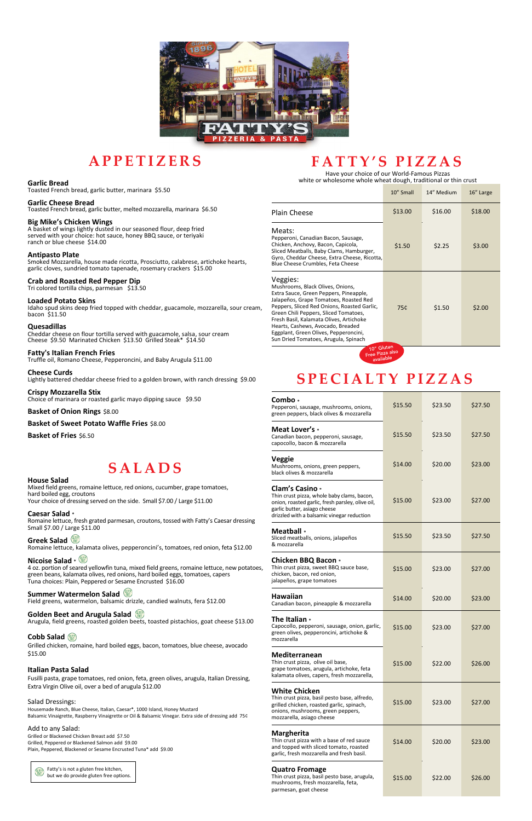

### **A P P E T I Z E R S**

#### **Garlic Bread**

Toasted French bread, garlic butter, marinara \$5.50

#### **Garlic Cheese Bread**

Toasted French bread, garlic butter, melted mozzarella, marinara \$6.50

#### **Big Mike's Chicken Wings**

A basket of wings lightly dusted in our seasoned flour, deep fried served with your choice: hot sauce, honey BBQ sauce, or teriyaki ranch or blue cheese \$14.00

#### **Antipasto Plate**

Smoked Mozzarella, house made ricotta, Prosciutto, calabrese, artichoke hearts, garlic cloves, sundried tomato tapenade, rosemary crackers \$15.00

#### **Crab and Roasted Red Pepper Dip**

Tri colored tortilla chips, parmesan \$13.50

#### **Loaded Potato Skins**

Mixed field greens, romaine lettuce, red onions, cucumber, grape tomatoes, hard boiled egg, croutons Your choice of dressing served on the side. Small \$7.00 / Large \$11.00

Idaho spud skins deep fried topped with cheddar, guacamole, mozzarella, sour cream, bacon \$11.50

#### **Quesadillas**

Cheddar cheese on flour tortilla served with guacamole, salsa, sour cream Cheese \$9.50 Marinated Chicken \$13.50 Grilled Steak\* \$14.50

#### **Fatty's Italian French Fries**

Truffle oil, Romano Cheese, Pepperoncini, and Baby Arugula \$11.00

#### **Cheese Curds**

Lightly battered cheddar cheese fried to a golden brown, with ranch dressing \$9.00

#### **Crispy Mozzarella Stix** Choice of marinara or roasted garlic mayo dipping sauce \$9.50

#### **Basket of Onion Rings** \$8.00

**Basket of Sweet Potato Waffle Fries** \$8.00

**Basket of Fries** \$6.50

# **S A L A D S**

#### **House Salad**

#### **Caesar Salad** \*

Romaine lettuce, fresh grated parmesan, croutons, tossed with Fatty's Caesar dressing Small \$7.00 / Large \$11.00

#### **Greek Salad**

Romaine lettuce, kalamata olives, pepperoncini's, tomatoes, red onion, feta \$12.00

#### **Nicoise Salad** \*

4 oz. portion of seared yellowfin tuna, mixed field greens, romaine lettuce, new potatoes, green beans, kalamata olives, red onions, hard boiled eggs, tomatoes, capers Tuna choices: Plain, Peppered or Sesame Encrusted \$16.00

#### **Summer Watermelon Salad**

Field greens, watermelon, balsamic drizzle, candied walnuts, fera \$12.00

Arugula, field greens, roasted golden beets, toasted pistachios, goat cheese \$13.00

#### **Cobb Salad**

Grilled chicken, romaine, hard boiled eggs, bacon, tomatoes, blue cheese, avocado \$15.00

#### **Italian Pasta Salad**

Fusilli pasta, grape tomatoes, red onion, feta, green olives, arugula, Italian Dressing, Extra Virgin Olive oil, over a bed of arugula \$12.00

#### Salad Dressings:

Housemade Ranch, Blue Cheese, Italian, Caesar\*, 1000 Island, Honey Mustard Balsamic Vinaigrette, Raspberry Vinaigrette or Oil & Balsamic Vinegar. Extra side of dressing add 75¢

#### Add to any Salad:

Grilled or Blackened Chicken Breast add \$7.50 Grilled, Peppered or Blackened Salmon add \$9.00 Plain, Peppered, Blackened or Sesame Encrusted Tuna\* add \$9.00



 Fatty's is not a gluten free kitchen, but we do provide gluten free options.

# **F A T T Y ' S P I Z Z A S**

Have your choice of our World-Famous Pizzas white or wholesome whole wheat dough, traditional or thin crust

|                                                                                                                                                                                                                                                                                                                                                                                           | 10" Small | 14" Medium | 16" Large |
|-------------------------------------------------------------------------------------------------------------------------------------------------------------------------------------------------------------------------------------------------------------------------------------------------------------------------------------------------------------------------------------------|-----------|------------|-----------|
| <b>Plain Cheese</b>                                                                                                                                                                                                                                                                                                                                                                       | \$13.00   | \$16.00    | \$18.00   |
| Meats:<br>Pepperoni, Canadian Bacon, Sausage,<br>Chicken, Anchovy, Bacon, Capicola,<br>Sliced Meatballs, Baby Clams, Hamburger,<br>Gyro, Cheddar Cheese, Extra Cheese, Ricotta,<br>Blue Cheese Crumbles, Feta Cheese                                                                                                                                                                      | \$1.50    | \$2.25     | \$3.00    |
| Veggies:<br>Mushrooms, Black Olives, Onions,<br>Extra Sauce, Green Peppers, Pineapple,<br>Jalapeños, Grape Tomatoes, Roasted Red<br>Peppers, Sliced Red Onions, Roasted Garlic,<br>Green Chili Peppers, Sliced Tomatoes,<br>Fresh Basil, Kalamata Olives, Artichoke<br>Hearts, Cashews, Avocado, Breaded<br>Eggplant, Green Olives, Pepperoncini,<br>Sun Dried Tomatoes, Arugula, Spinach | 75¢       | \$1.50     | \$2.00    |
| 10" Gluten                                                                                                                                                                                                                                                                                                                                                                                |           |            |           |



# **S P E C I A L T Y P I Z Z A S**

| Combo *<br>Pepperoni, sausage, mushrooms, onions,<br>green peppers, black olives & mozzarella                                                                                                   | \$15.50 | \$23.50 | \$27.50 |
|-------------------------------------------------------------------------------------------------------------------------------------------------------------------------------------------------|---------|---------|---------|
| Meat Lover's *<br>Canadian bacon, pepperoni, sausage,<br>capocollo, bacon & mozzarella                                                                                                          | \$15.50 | \$23.50 | \$27.50 |
| Veggie<br>Mushrooms, onions, green peppers,<br>black olives & mozzarella                                                                                                                        | \$14.00 | \$20.00 | \$23.00 |
| Clam's Casino *<br>Thin crust pizza, whole baby clams, bacon,<br>onion, roasted garlic, fresh parsley, olive oil,<br>garlic butter, asiago cheese<br>drizzled with a balsamic vinegar reduction | \$15.00 | \$23.00 | \$27.00 |
| <b>Meatball</b> *<br>Sliced meatballs, onions, jalapeños<br>& mozzarella                                                                                                                        | \$15.50 | \$23.50 | \$27.50 |
| Chicken BBQ Bacon *<br>Thin crust pizza, sweet BBQ sauce base,<br>chicken, bacon, red onion,<br>jalapeños, grape tomatoes                                                                       | \$15.00 | \$23.00 | \$27.00 |
| <b>Hawaiian</b><br>Canadian bacon, pineapple & mozzarella                                                                                                                                       | \$14.00 | \$20.00 | \$23.00 |
| The Italian *<br>Capocollo, pepperoni, sausage, onion, garlic,<br>green olives, pepperoncini, artichoke &<br>mozzarella                                                                         | \$15.00 | \$23.00 | \$27.00 |
| <b>Mediterranean</b><br>Thin crust pizza, olive oil base,<br>grape tomatoes, arugula, artichoke, feta<br>kalamata olives, capers, fresh mozzarella,                                             | \$15.00 | \$22.00 | \$26.00 |
| <b>White Chicken</b><br>Thin crust pizza, basil pesto base, alfredo,<br>grilled chicken, roasted garlic, spinach,<br>onions, mushrooms, green peppers,<br>mozzarella, asiago cheese             | \$15.00 | \$23.00 | \$27.00 |
| <b>Margherita</b><br>Thin crust pizza with a base of red sauce<br>and topped with sliced tomato, roasted<br>garlic, fresh mozzarella and fresh basil.                                           | \$14.00 | \$20.00 | \$23.00 |
| <b>Quatro Fromage</b><br>Thin crust pizza, basil pesto base, arugula,<br>mushrooms, fresh mozzarella, feta,<br>parmesan, goat cheese                                                            | \$15.00 | \$22.00 | \$26.00 |

### **Golden Beet and Arugula Salad**